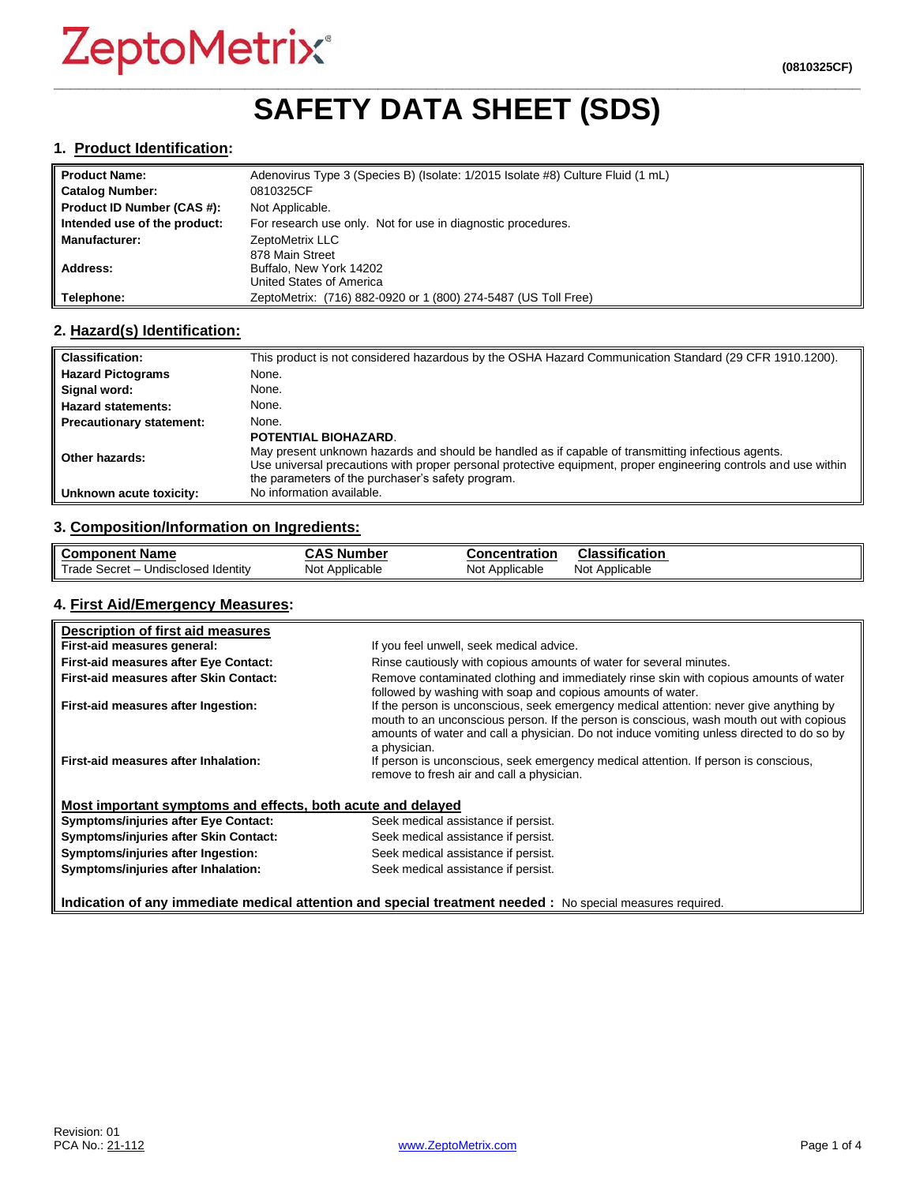### **\_\_\_\_\_\_\_\_\_\_\_\_\_\_\_\_\_\_\_\_\_\_\_\_\_\_\_\_\_\_\_\_\_\_\_\_\_\_\_\_\_\_\_\_\_\_\_\_\_\_\_\_\_\_\_\_\_\_\_\_\_\_\_\_\_\_\_\_\_\_\_\_\_\_\_\_\_\_\_\_\_\_\_\_\_\_\_\_\_\_\_\_\_\_\_\_\_ SAFETY DATA SHEET (SDS)**

#### **1. Product Identification:**

| <b>Product Name:</b>         | Adenovirus Type 3 (Species B) (Isolate: 1/2015 Isolate #8) Culture Fluid (1 mL) |
|------------------------------|---------------------------------------------------------------------------------|
| <b>Catalog Number:</b>       | 0810325CF                                                                       |
| Product ID Number (CAS #):   | Not Applicable.                                                                 |
| Intended use of the product: | For research use only. Not for use in diagnostic procedures.                    |
| <b>Manufacturer:</b>         | ZeptoMetrix LLC                                                                 |
|                              | 878 Main Street                                                                 |
| Address:                     | Buffalo, New York 14202                                                         |
|                              | United States of America                                                        |
| Telephone:                   | ZeptoMetrix: (716) 882-0920 or 1 (800) 274-5487 (US Toll Free)                  |

#### **2. Hazard(s) Identification:**

| <b>Classification:</b>          | This product is not considered hazardous by the OSHA Hazard Communication Standard (29 CFR 1910.1200).                                                                                                                                                                                                    |
|---------------------------------|-----------------------------------------------------------------------------------------------------------------------------------------------------------------------------------------------------------------------------------------------------------------------------------------------------------|
| <b>Hazard Pictograms</b>        | None.                                                                                                                                                                                                                                                                                                     |
| Signal word:                    | None.                                                                                                                                                                                                                                                                                                     |
| <b>Hazard statements:</b>       | None.                                                                                                                                                                                                                                                                                                     |
| <b>Precautionary statement:</b> | None.                                                                                                                                                                                                                                                                                                     |
| Other hazards:                  | <b>POTENTIAL BIOHAZARD.</b><br>May present unknown hazards and should be handled as if capable of transmitting infectious agents.<br>Use universal precautions with proper personal protective equipment, proper engineering controls and use within<br>the parameters of the purchaser's safety program. |
| Unknown acute toxicity:         | No information available.                                                                                                                                                                                                                                                                                 |

#### **3. Composition/Information on Ingredients:**

| <b>Component Name</b>                               | $\ddot{\bullet}$<br>، Number<br>טמע | <b>Concentration</b> | Classification    |
|-----------------------------------------------------|-------------------------------------|----------------------|-------------------|
| Trade,<br>Undisclosed Identity<br>– Secret <i>-</i> | Not Applicable                      | Not Applicable       | Applicable<br>Not |

#### **4. First Aid/Emergency Measures:**

| Description of first aid measures                           |                                                                                                                                                                                                                                                                                                |
|-------------------------------------------------------------|------------------------------------------------------------------------------------------------------------------------------------------------------------------------------------------------------------------------------------------------------------------------------------------------|
| First-aid measures general:                                 | If you feel unwell, seek medical advice.                                                                                                                                                                                                                                                       |
| First-aid measures after Eye Contact:                       | Rinse cautiously with copious amounts of water for several minutes.                                                                                                                                                                                                                            |
| First-aid measures after Skin Contact:                      | Remove contaminated clothing and immediately rinse skin with copious amounts of water<br>followed by washing with soap and copious amounts of water.                                                                                                                                           |
| First-aid measures after Ingestion:                         | If the person is unconscious, seek emergency medical attention: never give anything by<br>mouth to an unconscious person. If the person is conscious, wash mouth out with copious<br>amounts of water and call a physician. Do not induce vomiting unless directed to do so by<br>a physician. |
| First-aid measures after Inhalation:                        | If person is unconscious, seek emergency medical attention. If person is conscious,<br>remove to fresh air and call a physician.                                                                                                                                                               |
| Most important symptoms and effects, both acute and delayed |                                                                                                                                                                                                                                                                                                |
| <b>Symptoms/injuries after Eye Contact:</b>                 | Seek medical assistance if persist.                                                                                                                                                                                                                                                            |
| Symptoms/injuries after Skin Contact:                       | Seek medical assistance if persist.                                                                                                                                                                                                                                                            |
| Symptoms/injuries after Ingestion:                          | Seek medical assistance if persist.                                                                                                                                                                                                                                                            |
| Symptoms/injuries after Inhalation:                         | Seek medical assistance if persist.                                                                                                                                                                                                                                                            |
|                                                             | Indication of any immediate medical attention and special treatment needed : No special measures required.                                                                                                                                                                                     |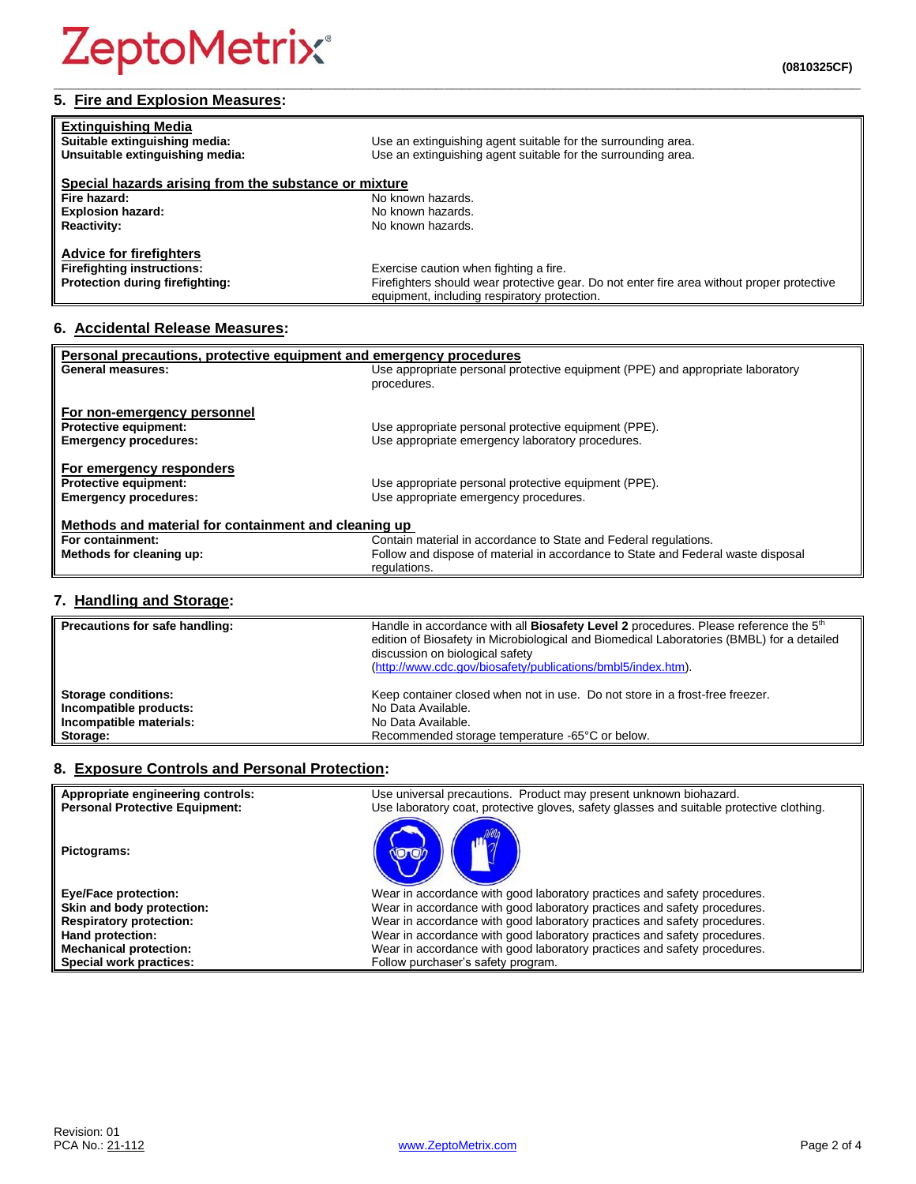# **ZeptoMetrix®**

| <b>Extinguishing Media</b>                            |                                                               |  |
|-------------------------------------------------------|---------------------------------------------------------------|--|
| Suitable extinguishing media:                         | Use an extinguishing agent suitable for the surrounding area. |  |
| Unsuitable extinguishing media:                       | Use an extinguishing agent suitable for the surrounding area. |  |
| Special hazards arising from the substance or mixture |                                                               |  |
| Eise benead.                                          | No known horordo                                              |  |

#### **Special hazards aries**<br>Fire hazard: **Fire hazard:** No known hazards.<br> **Explosion hazard:** No known hazards. **Explosion hazard:** No known hazards.<br> **Reactivity:** No known hazards. **Reactivity:** No known hazards.

#### **Advice for firefighters Exercise caution when fighting a fire. Protection during firefighting:** Firefighters should wear protective gear. Do not enter fire area without proper protective equipment, including respiratory protection.

**\_\_\_\_\_\_\_\_\_\_\_\_\_\_\_\_\_\_\_\_\_\_\_\_\_\_\_\_\_\_\_\_\_\_\_\_\_\_\_\_\_\_\_\_\_\_\_\_\_\_\_\_\_\_\_\_\_\_\_\_\_\_\_\_\_\_\_\_\_\_\_\_\_\_\_\_\_\_\_\_\_\_\_\_\_\_\_\_\_\_\_\_\_\_\_\_\_**

### **6. Accidental Release Measures:**

| Personal precautions, protective equipment and emergency procedures |                                                                                  |  |
|---------------------------------------------------------------------|----------------------------------------------------------------------------------|--|
| <b>General measures:</b>                                            | Use appropriate personal protective equipment (PPE) and appropriate laboratory   |  |
|                                                                     | procedures.                                                                      |  |
|                                                                     |                                                                                  |  |
| For non-emergency personnel                                         |                                                                                  |  |
| <b>Protective equipment:</b>                                        | Use appropriate personal protective equipment (PPE).                             |  |
| <b>Emergency procedures:</b>                                        | Use appropriate emergency laboratory procedures.                                 |  |
|                                                                     |                                                                                  |  |
| For emergency responders                                            |                                                                                  |  |
| <b>Protective equipment:</b>                                        | Use appropriate personal protective equipment (PPE).                             |  |
| <b>Emergency procedures:</b>                                        | Use appropriate emergency procedures.                                            |  |
|                                                                     |                                                                                  |  |
| Methods and material for containment and cleaning up                |                                                                                  |  |
| For containment:                                                    | Contain material in accordance to State and Federal regulations.                 |  |
| Methods for cleaning up:                                            | Follow and dispose of material in accordance to State and Federal waste disposal |  |
|                                                                     | regulations.                                                                     |  |

#### **7. Handling and Storage:**

| Precautions for safe handling: | Handle in accordance with all <b>Biosafety Level 2</b> procedures. Please reference the 5 <sup>th</sup><br>edition of Biosafety in Microbiological and Biomedical Laboratories (BMBL) for a detailed<br>discussion on biological safety<br>(http://www.cdc.gov/biosafety/publications/bmbl5/index.htm). |
|--------------------------------|---------------------------------------------------------------------------------------------------------------------------------------------------------------------------------------------------------------------------------------------------------------------------------------------------------|
| <b>Storage conditions:</b>     | Keep container closed when not in use. Do not store in a frost-free freezer.                                                                                                                                                                                                                            |
| Incompatible products:         | No Data Available.                                                                                                                                                                                                                                                                                      |
| Incompatible materials:        | No Data Available.                                                                                                                                                                                                                                                                                      |
| Storage:                       | Recommended storage temperature -65°C or below.                                                                                                                                                                                                                                                         |

### **8. Exposure Controls and Personal Protection:**

| Appropriate engineering controls:<br><b>Personal Protective Equipment:</b> | Use universal precautions. Product may present unknown biohazard.<br>Use laboratory coat, protective gloves, safety glasses and suitable protective clothing. |
|----------------------------------------------------------------------------|---------------------------------------------------------------------------------------------------------------------------------------------------------------|
| Pictograms:                                                                |                                                                                                                                                               |
| <b>Eye/Face protection:</b>                                                | Wear in accordance with good laboratory practices and safety procedures.                                                                                      |
| Skin and body protection:                                                  | Wear in accordance with good laboratory practices and safety procedures.                                                                                      |
| <b>Respiratory protection:</b>                                             | Wear in accordance with good laboratory practices and safety procedures.                                                                                      |
| Hand protection:                                                           | Wear in accordance with good laboratory practices and safety procedures.                                                                                      |
| <b>Mechanical protection:</b>                                              | Wear in accordance with good laboratory practices and safety procedures.                                                                                      |
| Special work practices:                                                    | Follow purchaser's safety program.                                                                                                                            |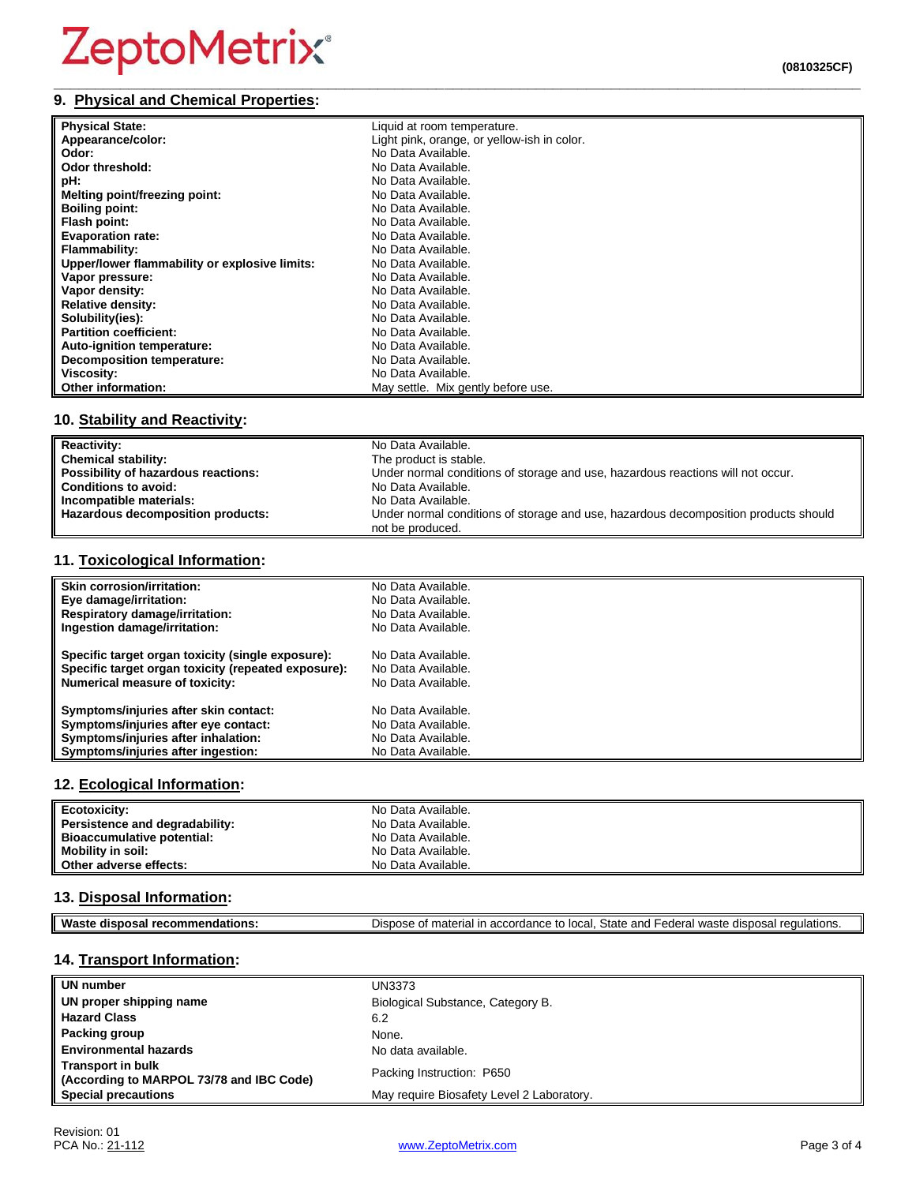**(0810325CF)**

### **9. Physical and Chemical Properties:**

| <b>Physical State:</b>                        | Liquid at room temperature.                 |
|-----------------------------------------------|---------------------------------------------|
| Appearance/color:                             | Light pink, orange, or yellow-ish in color. |
| Odor:                                         | No Data Available.                          |
| Odor threshold:                               | No Data Available.                          |
| pH:                                           | No Data Available.                          |
| Melting point/freezing point:                 | No Data Available.                          |
| <b>Boiling point:</b>                         | No Data Available.                          |
| Flash point:                                  | No Data Available.                          |
| <b>Evaporation rate:</b>                      | No Data Available.                          |
| Flammability:                                 | No Data Available.                          |
| Upper/lower flammability or explosive limits: | No Data Available.                          |
| Vapor pressure:                               | No Data Available.                          |
| Vapor density:                                | No Data Available.                          |
| <b>Relative density:</b>                      | No Data Available.                          |
| Solubility(ies):                              | No Data Available.                          |
| <b>Partition coefficient:</b>                 | No Data Available.                          |
| Auto-ignition temperature:                    | No Data Available.                          |
| <b>Decomposition temperature:</b>             | No Data Available.                          |
| Viscosity:                                    | No Data Available.                          |
| Other information:                            | May settle. Mix gently before use.          |

#### **10. Stability and Reactivity:**

| <b>Reactivity:</b>                  | No Data Available.                                                                  |
|-------------------------------------|-------------------------------------------------------------------------------------|
| <b>Chemical stability:</b>          | The product is stable.                                                              |
| Possibility of hazardous reactions: | Under normal conditions of storage and use, hazardous reactions will not occur.     |
| <b>Conditions to avoid:</b>         | No Data Available.                                                                  |
| Incompatible materials:             | No Data Available.                                                                  |
| Hazardous decomposition products:   | Under normal conditions of storage and use, hazardous decomposition products should |
|                                     | not be produced.                                                                    |

#### **11. Toxicological Information:**

| Skin corrosion/irritation:                          | No Data Available. |
|-----------------------------------------------------|--------------------|
|                                                     |                    |
| Eye damage/irritation:                              | No Data Available. |
| <b>Respiratory damage/irritation:</b>               | No Data Available. |
| Ingestion damage/irritation:                        | No Data Available. |
| Specific target organ toxicity (single exposure):   | No Data Available. |
| Specific target organ toxicity (repeated exposure): | No Data Available. |
| <b>Numerical measure of toxicity:</b>               | No Data Available. |
| Symptoms/injuries after skin contact:               | No Data Available. |
| Symptoms/injuries after eye contact:                | No Data Available. |
| Symptoms/injuries after inhalation:                 | No Data Available. |
| Symptoms/injuries after ingestion:                  | No Data Available. |

#### **12. Ecological Information:**

| Ecotoxicity:                   | No Data Available. |
|--------------------------------|--------------------|
| Persistence and degradability: | No Data Available. |
| Bioaccumulative potential:     | No Data Available. |
| <b>Mobility in soil:</b>       | No Data Available. |
| Other adverse effects:         | No Data Available. |

### **13. Disposal Information:**

| ML<br>$-1$<br>dispo:<br>.me<br>aations<br>ман | -<br>State<br>Dispose<br>יהמה'<br>nnd<br>waste<br>-adara<br>. accordance<br>.<br>regulations.<br>ır<br>יי<br>າosal<br>naterial<br>JG H<br>uispos<br>.UL.<br>cuci.<br>anu |
|-----------------------------------------------|--------------------------------------------------------------------------------------------------------------------------------------------------------------------------|
|                                               |                                                                                                                                                                          |

#### **14. Transport Information:**

| UN number                                                            | <b>UN3373</b>                             |
|----------------------------------------------------------------------|-------------------------------------------|
| UN proper shipping name                                              | Biological Substance, Category B.         |
| <b>Hazard Class</b>                                                  | 6.2                                       |
| Packing group                                                        | None.                                     |
| <b>Environmental hazards</b>                                         | No data available.                        |
| <b>Transport in bulk</b><br>(According to MARPOL 73/78 and IBC Code) | Packing Instruction: P650                 |
| <b>Special precautions</b>                                           | May require Biosafety Level 2 Laboratory. |